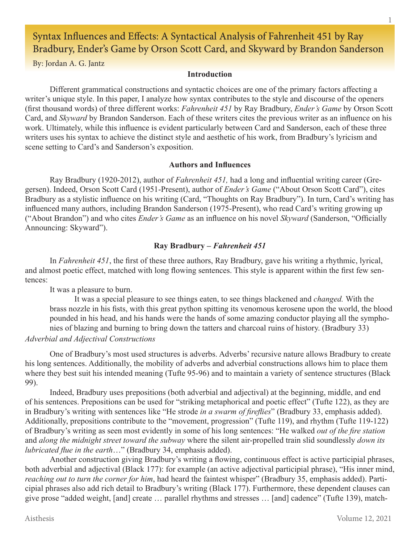# Syntax Influences and Effects: A Syntactical Analysis of Fahrenheit 451 by Ray Bradbury, Ender's Game by Orson Scott Card, and Skyward by Brandon Sanderson

By: Jordan A. G. Jantz

# **Introduction**

Different grammatical constructions and syntactic choices are one of the primary factors affecting a writer's unique style. In this paper, I analyze how syntax contributes to the style and discourse of the openers (first thousand words) of three different works: *Fahrenheit 451* by Ray Bradbury, *Ender's Game* by Orson Scott Card, and *Skyward* by Brandon Sanderson. Each of these writers cites the previous writer as an influence on his work. Ultimately, while this influence is evident particularly between Card and Sanderson, each of these three writers uses his syntax to achieve the distinct style and aesthetic of his work, from Bradbury's lyricism and scene setting to Card's and Sanderson's exposition.

# **Authors and Influences**

Ray Bradbury (1920-2012), author of *Fahrenheit 451,* had a long and influential writing career (Gregersen). Indeed, Orson Scott Card (1951-Present), author of *Ender's Game* ("About Orson Scott Card"), cites Bradbury as a stylistic influence on his writing (Card, "Thoughts on Ray Bradbury"). In turn, Card's writing has influenced many authors, including Brandon Sanderson (1975-Present), who read Card's writing growing up ("About Brandon") and who cites *Ender's Game* as an influence on his novel *Skyward* (Sanderson, "Officially Announcing: Skyward").

# **Ray Bradbury –** *Fahrenheit 451*

In *Fahrenheit 451*, the first of these three authors, Ray Bradbury, gave his writing a rhythmic, lyrical, and almost poetic effect, matched with long flowing sentences. This style is apparent within the first few sentences:

It was a pleasure to burn.

It was a special pleasure to see things eaten, to see things blackened and *changed.* With the brass nozzle in his fists, with this great python spitting its venomous kerosene upon the world, the blood pounded in his head, and his hands were the hands of some amazing conductor playing all the symphonies of blazing and burning to bring down the tatters and charcoal ruins of history. (Bradbury 33)

# *Adverbial and Adjectival Constructions*

One of Bradbury's most used structures is adverbs. Adverbs' recursive nature allows Bradbury to create his long sentences. Additionally, the mobility of adverbs and adverbial constructions allows him to place them where they best suit his intended meaning (Tufte 95-96) and to maintain a variety of sentence structures (Black 99).

Indeed, Bradbury uses prepositions (both adverbial and adjectival) at the beginning, middle, and end of his sentences. Prepositions can be used for "striking metaphorical and poetic effect" (Tufte 122), as they are in Bradbury's writing with sentences like "He strode *in a swarm of fireflies*" (Bradbury 33, emphasis added). Additionally, prepositions contribute to the "movement, progression" (Tufte 119), and rhythm (Tufte 119-122) of Bradbury's writing as seen most evidently in some of his long sentences: "He walked *out of the fire station* and *along the midnight street toward the subway* where the silent air-propelled train slid soundlessly *down its lubricated flue in the earth*…" (Bradbury 34, emphasis added).

Another construction giving Bradbury's writing a flowing, continuous effect is active participial phrases, both adverbial and adjectival (Black 177): for example (an active adjectival participial phrase), "His inner mind, *reaching out to turn the corner for him*, had heard the faintest whisper" (Bradbury 35, emphasis added). Participial phrases also add rich detail to Bradbury's writing (Black 177). Furthermore, these dependent clauses can give prose "added weight, [and] create … parallel rhythms and stresses … [and] cadence" (Tufte 139), match-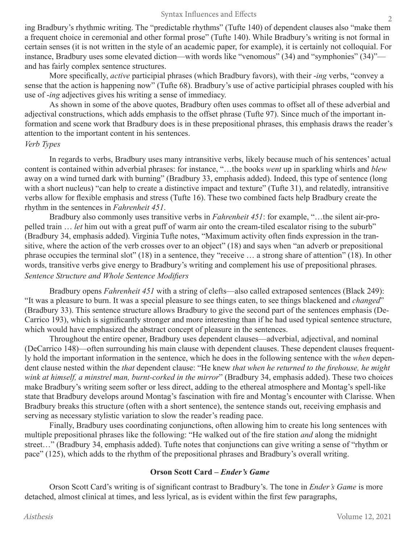ing Bradbury's rhythmic writing. The "predictable rhythms" (Tufte 140) of dependent clauses also "make them a frequent choice in ceremonial and other formal prose" (Tufte 140). While Bradbury's writing is not formal in certain senses (it is not written in the style of an academic paper, for example), it is certainly not colloquial. For instance, Bradbury uses some elevated diction—with words like "venomous" (34) and "symphonies" (34)" and has fairly complex sentence structures.

More specifically, *active* participial phrases (which Bradbury favors), with their -*ing* verbs, "convey a sense that the action is happening now" (Tufte 68). Bradbury's use of active participial phrases coupled with his use of -*ing* adjectives gives his writing a sense of immediacy.

As shown in some of the above quotes, Bradbury often uses commas to offset all of these adverbial and adjectival constructions, which adds emphasis to the offset phrase (Tufte 97). Since much of the important information and scene work that Bradbury does is in these prepositional phrases, this emphasis draws the reader's attention to the important content in his sentences.

# *Verb Types*

In regards to verbs, Bradbury uses many intransitive verbs, likely because much of his sentences' actual content is contained within adverbial phrases: for instance, "…the books *went* up in sparkling whirls and *blew*  away on a wind turned dark with burning" (Bradbury 33, emphasis added). Indeed, this type of sentence (long with a short nucleus) "can help to create a distinctive impact and texture" (Tufte 31), and relatedly, intransitive verbs allow for flexible emphasis and stress (Tufte 16). These two combined facts help Bradbury create the rhythm in the sentences in *Fahrenheit 451*.

Bradbury also commonly uses transitive verbs in *Fahrenheit 451*: for example, "…the silent air-propelled train … *let* him out with a great puff of warm air onto the cream-tiled escalator rising to the suburb" (Bradbury 34, emphasis added). Virginia Tufte notes, "Maximum activity often finds expression in the transitive, where the action of the verb crosses over to an object" (18) and says when "an adverb or prepositional phrase occupies the terminal slot" (18) in a sentence, they "receive … a strong share of attention" (18). In other words, transitive verbs give energy to Bradbury's writing and complement his use of prepositional phrases. *Sentence Structure and Whole Sentence Modifiers*

Bradbury opens *Fahrenheit 451* with a string of clefts—also called extraposed sentences (Black 249): "It was a pleasure to burn. It was a special pleasure to see things eaten, to see things blackened and *changed*" (Bradbury 33). This sentence structure allows Bradbury to give the second part of the sentences emphasis (De-Carrico 193), which is significantly stronger and more interesting than if he had used typical sentence structure, which would have emphasized the abstract concept of pleasure in the sentences.

Throughout the entire opener, Bradbury uses dependent clauses—adverbial, adjectival, and nominal (DeCarrico 148)—often surrounding his main clause with dependent clauses. These dependent clauses frequently hold the important information in the sentence, which he does in the following sentence with the *when* dependent clause nested within the *that* dependent clause: "He knew *that when he returned to the firehouse, he might wink at himself, a minstrel man, burnt-corked in the mirror*" (Bradbury 34, emphasis added). These two choices make Bradbury's writing seem softer or less direct, adding to the ethereal atmosphere and Montag's spell-like state that Bradbury develops around Montag's fascination with fire and Montag's encounter with Clarisse. When Bradbury breaks this structure (often with a short sentence), the sentence stands out, receiving emphasis and serving as necessary stylistic variation to slow the reader's reading pace.

Finally, Bradbury uses coordinating conjunctions, often allowing him to create his long sentences with multiple prepositional phrases like the following: "He walked out of the fire station *and* along the midnight street…" (Bradbury 34, emphasis added). Tufte notes that conjunctions can give writing a sense of "rhythm or pace" (125), which adds to the rhythm of the prepositional phrases and Bradbury's overall writing.

# **Orson Scott Card –** *Ender's Game*

Orson Scott Card's writing is of significant contrast to Bradbury's. The tone in *Ender's Game* is more detached, almost clinical at times, and less lyrical, as is evident within the first few paragraphs,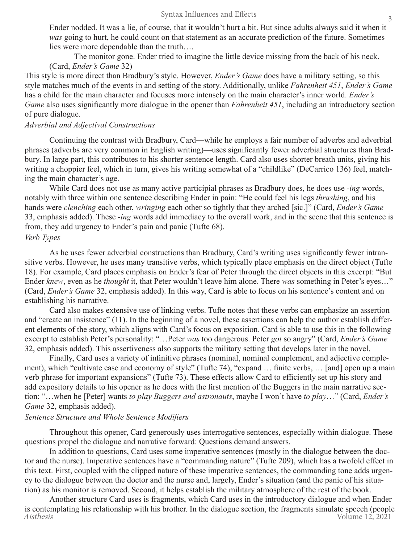Ender nodded. It was a lie, of course, that it wouldn't hurt a bit. But since adults always said it when it *was* going to hurt, he could count on that statement as an accurate prediction of the future. Sometimes lies were more dependable than the truth….

The monitor gone. Ender tried to imagine the little device missing from the back of his neck. (Card, *Ender's Game* 32)

This style is more direct than Bradbury's style. However, *Ender's Game* does have a military setting, so this style matches much of the events in and setting of the story. Additionally, unlike *Fahrenheit 451*, *Ender's Game*  has a child for the main character and focuses more intensely on the main character's inner world. *Ender's Game* also uses significantly more dialogue in the opener than *Fahrenheit 451*, including an introductory section of pure dialogue.

## *Adverbial and Adjectival Constructions*

Continuing the contrast with Bradbury, Card—while he employs a fair number of adverbs and adverbial phrases (adverbs are very common in English writing)—uses significantly fewer adverbial structures than Bradbury. In large part, this contributes to his shorter sentence length. Card also uses shorter breath units, giving his writing a choppier feel, which in turn, gives his writing somewhat of a "childlike" (DeCarrico 136) feel, matching the main character's age.

While Card does not use as many active participial phrases as Bradbury does, he does use -*ing* words, notably with three within one sentence describing Ender in pain: "He could feel his legs *thrashing*, and his hands were *clenching* each other, *wringing* each other so tightly that they arched [sic.]" (Card, *Ender's Game* 33, emphasis added). These -*ing* words add immediacy to the overall work, and in the scene that this sentence is from, they add urgency to Ender's pain and panic (Tufte 68). *Verb Types*

As he uses fewer adverbial constructions than Bradbury, Card's writing uses significantly fewer intransitive verbs. However, he uses many transitive verbs, which typically place emphasis on the direct object (Tufte 18). For example, Card places emphasis on Ender's fear of Peter through the direct objects in this excerpt: "But Ender *knew*, even as he *thought* it, that Peter wouldn't leave him alone. There *was* something in Peter's eyes…" (Card, *Ender's Game* 32, emphasis added). In this way, Card is able to focus on his sentence's content and on establishing his narrative.

Card also makes extensive use of linking verbs. Tufte notes that these verbs can emphasize an assertion and "create an insistence" (11). In the beginning of a novel, these assertions can help the author establish different elements of the story, which aligns with Card's focus on exposition. Card is able to use this in the following excerpt to establish Peter's personality: "…Peter *was* too dangerous. Peter *got* so angry" (Card, *Ender's Game*  32, emphasis added). This assertiveness also supports the military setting that develops later in the novel.

Finally, Card uses a variety of infinitive phrases (nominal, nominal complement, and adjective complement), which "cultivate ease and economy of style" (Tufte 74), "expand … finite verbs, … [and] open up a main verb phrase for important expansions" (Tufte 73). These effects allow Card to efficiently set up his story and add expository details to his opener as he does with the first mention of the Buggers in the main narrative section: "…when he [Peter] wants *to play Buggers and astronauts*, maybe I won't have *to play*…" (Card, *Ender's Game* 32, emphasis added).

# *Sentence Structure and Whole Sentence Modifiers*

Throughout this opener, Card generously uses interrogative sentences, especially within dialogue. These questions propel the dialogue and narrative forward: Questions demand answers.

In addition to questions, Card uses some imperative sentences (mostly in the dialogue between the doctor and the nurse). Imperative sentences have a "commanding nature" (Tufte 209), which has a twofold effect in this text. First, coupled with the clipped nature of these imperative sentences, the commanding tone adds urgency to the dialogue between the doctor and the nurse and, largely, Ender's situation (and the panic of his situation) as his monitor is removed. Second, it helps establish the military atmosphere of the rest of the book.

Aisthesis Volume 12, 2021 Another structure Card uses is fragments, which Card uses in the introductory dialogue and when Ender is contemplating his relationship with his brother. In the dialogue section, the fragments simulate speech (people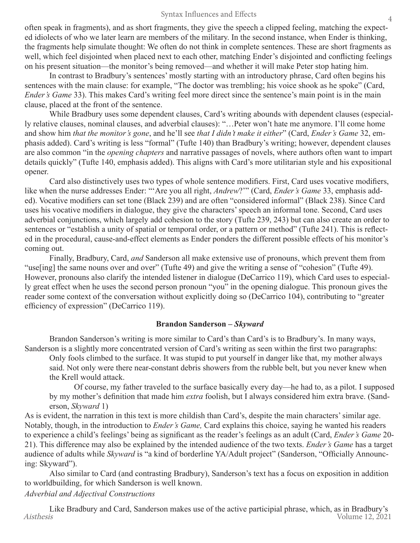#### Syntax Influences and Effects

often speak in fragments), and as short fragments, they give the speech a clipped feeling, matching the expected idiolects of who we later learn are members of the military. In the second instance, when Ender is thinking, the fragments help simulate thought: We often do not think in complete sentences. These are short fragments as well, which feel disjointed when placed next to each other, matching Ender's disjointed and conflicting feelings on his present situation—the monitor's being removed—and whether it will make Peter stop hating him.

In contrast to Bradbury's sentences' mostly starting with an introductory phrase, Card often begins his sentences with the main clause: for example, "The doctor was trembling; his voice shook as he spoke" (Card, *Ender's Game* 33). This makes Card's writing feel more direct since the sentence's main point is in the main clause, placed at the front of the sentence.

While Bradbury uses some dependent clauses, Card's writing abounds with dependent clauses (especially relative clauses, nominal clauses, and adverbial clauses): "…Peter won't hate me anymore. I'll come home and show him *that the monitor's gone*, and he'll see *that I didn't make it either*" (Card, *Ender's Game* 32, emphasis added). Card's writing is less "formal" (Tufte 140) than Bradbury's writing; however, dependent clauses are also common "in the *opening chapters* and narrative passages of novels, where authors often want to impart details quickly" (Tufte 140, emphasis added). This aligns with Card's more utilitarian style and his expositional opener.

Card also distinctively uses two types of whole sentence modifiers. First, Card uses vocative modifiers, like when the nurse addresses Ender: "'Are you all right, *Andrew*?'" (Card, *Ender's Game* 33, emphasis added). Vocative modifiers can set tone (Black 239) and are often "considered informal" (Black 238). Since Card uses his vocative modifiers in dialogue, they give the characters' speech an informal tone. Second, Card uses adverbial conjunctions, which largely add cohesion to the story (Tufte 239, 243) but can also create an order to sentences or "establish a unity of spatial or temporal order, or a pattern or method" (Tufte 241). This is reflected in the procedural, cause-and-effect elements as Ender ponders the different possible effects of his monitor's coming out.

Finally, Bradbury, Card, *and* Sanderson all make extensive use of pronouns, which prevent them from "use[ing] the same nouns over and over" (Tufte 49) and give the writing a sense of "cohesion" (Tufte 49). However, pronouns also clarify the intended listener in dialogue (DeCarrico 119), which Card uses to especially great effect when he uses the second person pronoun "you" in the opening dialogue. This pronoun gives the reader some context of the conversation without explicitly doing so (DeCarrico 104), contributing to "greater efficiency of expression" (DeCarrico 119).

#### **Brandon Sanderson –** *Skyward*

Brandon Sanderson's writing is more similar to Card's than Card's is to Bradbury's. In many ways, Sanderson is a slightly more concentrated version of Card's writing as seen within the first two paragraphs:

Only fools climbed to the surface. It was stupid to put yourself in danger like that, my mother always said. Not only were there near-constant debris showers from the rubble belt, but you never knew when the Krell would attack.

Of course, my father traveled to the surface basically every day—he had to, as a pilot. I supposed by my mother's definition that made him *extra* foolish, but I always considered him extra brave. (Sanderson, *Skyward* 1)

As is evident, the narration in this text is more childish than Card's, despite the main characters' similar age. Notably, though, in the introduction to *Ender's Game,* Card explains this choice, saying he wanted his readers to experience a child's feelings' being as significant as the reader's feelings as an adult (Card, *Ender's Game* 20- 21). This difference may also be explained by the intended audience of the two texts. *Ender's Game* has a target audience of adults while *Skyward* is "a kind of borderline YA/Adult project" (Sanderson, "Officially Announcing: Skyward").

Also similar to Card (and contrasting Bradbury), Sanderson's text has a focus on exposition in addition to worldbuilding, for which Sanderson is well known.

# *Adverbial and Adjectival Constructions*

Aisthesis Volume 12, 2021 Like Bradbury and Card, Sanderson makes use of the active participial phrase, which, as in Bradbury's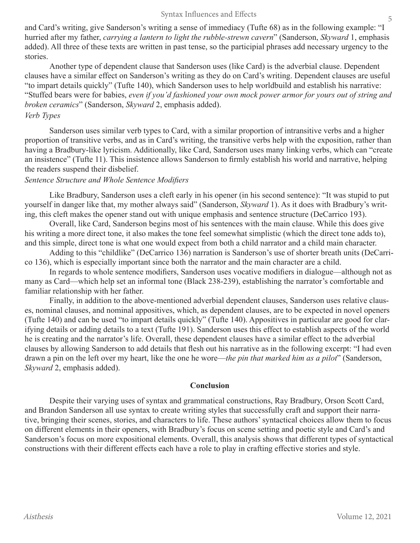#### Syntax Influences and Effects

and Card's writing, give Sanderson's writing a sense of immediacy (Tufte 68) as in the following example: "I hurried after my father, *carrying a lantern to light the rubble-strewn cavern*" (Sanderson, *Skyward* 1, emphasis added). All three of these texts are written in past tense, so the participial phrases add necessary urgency to the stories.

Another type of dependent clause that Sanderson uses (like Card) is the adverbial clause. Dependent clauses have a similar effect on Sanderson's writing as they do on Card's writing. Dependent clauses are useful "to impart details quickly" (Tufte 140), which Sanderson uses to help worldbuild and establish his narrative: "Stuffed bears were for babies, *even if you'd fashioned your own mock power armor for yours out of string and broken ceramics*" (Sanderson, *Skyward* 2, emphasis added).

#### *Verb Types*

Sanderson uses similar verb types to Card, with a similar proportion of intransitive verbs and a higher proportion of transitive verbs, and as in Card's writing, the transitive verbs help with the exposition, rather than having a Bradbury-like lyricism. Additionally, like Card, Sanderson uses many linking verbs, which can "create an insistence" (Tufte 11). This insistence allows Sanderson to firmly establish his world and narrative, helping the readers suspend their disbelief.

# *Sentence Structure and Whole Sentence Modifiers*

Like Bradbury, Sanderson uses a cleft early in his opener (in his second sentence): "It was stupid to put yourself in danger like that, my mother always said" (Sanderson, *Skyward* 1). As it does with Bradbury's writing, this cleft makes the opener stand out with unique emphasis and sentence structure (DeCarrico 193).

Overall, like Card, Sanderson begins most of his sentences with the main clause. While this does give his writing a more direct tone, it also makes the tone feel somewhat simplistic (which the direct tone adds to), and this simple, direct tone is what one would expect from both a child narrator and a child main character.

Adding to this "childlike" (DeCarrico 136) narration is Sanderson's use of shorter breath units (DeCarrico 136), which is especially important since both the narrator and the main character are a child.

In regards to whole sentence modifiers, Sanderson uses vocative modifiers in dialogue—although not as many as Card—which help set an informal tone (Black 238-239), establishing the narrator's comfortable and familiar relationship with her father.

Finally, in addition to the above-mentioned adverbial dependent clauses, Sanderson uses relative clauses, nominal clauses, and nominal appositives, which, as dependent clauses, are to be expected in novel openers (Tufte 140) and can be used "to impart details quickly" (Tufte 140). Appositives in particular are good for clarifying details or adding details to a text (Tufte 191). Sanderson uses this effect to establish aspects of the world he is creating and the narrator's life. Overall, these dependent clauses have a similar effect to the adverbial clauses by allowing Sanderson to add details that flesh out his narrative as in the following excerpt: "I had even drawn a pin on the left over my heart, like the one he wore—*the pin that marked him as a pilot*" (Sanderson, *Skyward* 2, emphasis added).

#### **Conclusion**

Despite their varying uses of syntax and grammatical constructions, Ray Bradbury, Orson Scott Card, and Brandon Sanderson all use syntax to create writing styles that successfully craft and support their narrative, bringing their scenes, stories, and characters to life. These authors' syntactical choices allow them to focus on different elements in their openers, with Bradbury's focus on scene setting and poetic style and Card's and Sanderson's focus on more expositional elements. Overall, this analysis shows that different types of syntactical constructions with their different effects each have a role to play in crafting effective stories and style.

5